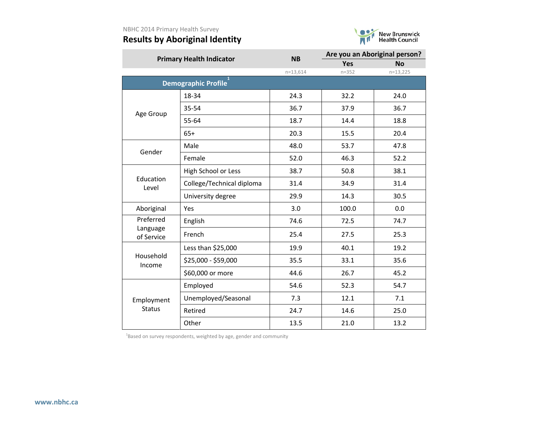# **Results by Aboriginal Identity**



|                        | <b>Primary Health Indicator</b> | <b>NB</b>  | Are you an Aboriginal person? |            |  |
|------------------------|---------------------------------|------------|-------------------------------|------------|--|
|                        |                                 |            | <b>Yes</b>                    | <b>No</b>  |  |
|                        |                                 | $n=13,614$ | $n = 352$                     | $n=13,225$ |  |
|                        | <b>Demographic Profile</b>      |            |                               |            |  |
|                        | 18-34                           | 24.3       | 32.2                          | 24.0       |  |
| Age Group              | 35-54                           | 36.7       | 37.9                          | 36.7       |  |
|                        | 55-64                           | 18.7       | 14.4                          | 18.8       |  |
|                        | $65+$                           | 20.3       | 15.5                          | 20.4       |  |
| Gender                 | Male                            | 48.0       | 53.7                          | 47.8       |  |
|                        | Female                          | 52.0       | 46.3                          | 52.2       |  |
|                        | High School or Less             | 38.7       | 50.8                          | 38.1       |  |
| Education<br>Level     | College/Technical diploma       | 31.4       | 34.9                          | 31.4       |  |
|                        | University degree               | 29.9       | 14.3                          | 30.5       |  |
| Aboriginal             | Yes                             | 3.0        | 100.0                         | 0.0        |  |
| Preferred              | English                         | 74.6       | 72.5                          | 74.7       |  |
| Language<br>of Service | French                          | 25.4       | 27.5                          | 25.3       |  |
|                        | Less than \$25,000              | 19.9       | 40.1                          | 19.2       |  |
| Household<br>Income    | \$25,000 - \$59,000             | 35.5       | 33.1                          | 35.6       |  |
|                        | \$60,000 or more                | 44.6       | 26.7                          | 45.2       |  |
|                        | Employed                        | 54.6       | 52.3                          | 54.7       |  |
| Employment             | Unemployed/Seasonal             | 7.3        | 12.1                          | 7.1        |  |
| <b>Status</b>          | Retired                         | 24.7       | 14.6                          | 25.0       |  |
|                        | Other                           | 13.5       | 21.0                          | 13.2       |  |

 $^{1}$ Based on survey respondents, weighted by age, gender and community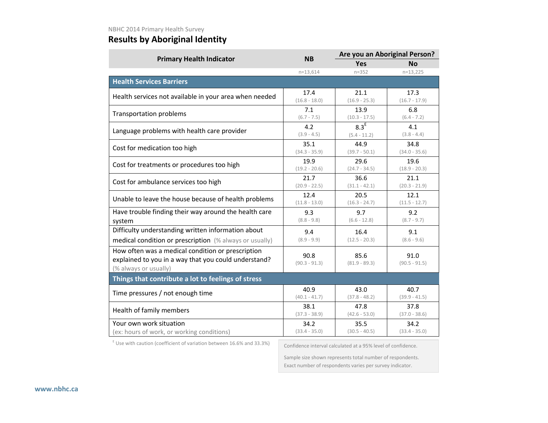# **Results by Aboriginal Identity**

|                                                                                                                                    | <b>NB</b>               | Are you an Aboriginal Person? |                         |  |
|------------------------------------------------------------------------------------------------------------------------------------|-------------------------|-------------------------------|-------------------------|--|
| <b>Primary Health Indicator</b>                                                                                                    |                         | <b>Yes</b>                    | <b>No</b>               |  |
|                                                                                                                                    | $n = 13,614$            | $n = 352$                     | $n=13,225$              |  |
| <b>Health Services Barriers</b>                                                                                                    |                         |                               |                         |  |
| Health services not available in your area when needed                                                                             | 17.4                    | 21.1                          | 17.3                    |  |
|                                                                                                                                    | $(16.8 - 18.0)$         | $(16.9 - 25.3)$               | $(16.7 - 17.9)$         |  |
| <b>Transportation problems</b>                                                                                                     | 7.1                     | 13.9                          | 6.8                     |  |
|                                                                                                                                    | $(6.7 - 7.5)$           | $(10.3 - 17.5)$               | $(6.4 - 7.2)$           |  |
| Language problems with health care provider                                                                                        | 4.2                     | 8.3 <sup>E</sup>              | 4.1                     |  |
|                                                                                                                                    | $(3.9 - 4.5)$           | $(5.4 - 11.2)$                | $(3.8 - 4.4)$           |  |
| Cost for medication too high                                                                                                       | 35.1                    | 44.9                          | 34.8                    |  |
|                                                                                                                                    | $(34.3 - 35.9)$         | $(39.7 - 50.1)$               | $(34.0 - 35.6)$         |  |
| Cost for treatments or procedures too high                                                                                         | 19.9                    | 29.6                          | 19.6                    |  |
|                                                                                                                                    | $(19.2 - 20.6)$         | $(24.7 - 34.5)$               | $(18.9 - 20.3)$         |  |
| Cost for ambulance services too high                                                                                               | 21.7                    | 36.6                          | 21.1                    |  |
|                                                                                                                                    | $(20.9 - 22.5)$         | $(31.1 - 42.1)$               | $(20.3 - 21.9)$         |  |
| Unable to leave the house because of health problems                                                                               | 12.4                    | 20.5                          | 12.1                    |  |
|                                                                                                                                    | $(11.8 - 13.0)$         | $(16.3 - 24.7)$               | $(11.5 - 12.7)$         |  |
| Have trouble finding their way around the health care                                                                              | 9.3                     | 9.7                           | 9.2                     |  |
| system                                                                                                                             | $(8.8 - 9.8)$           | $(6.6 - 12.8)$                | $(8.7 - 9.7)$           |  |
| Difficulty understanding written information about                                                                                 | 9.4                     | 16.4                          | 9.1                     |  |
| medical condition or prescription (% always or usually)                                                                            | $(8.9 - 9.9)$           | $(12.5 - 20.3)$               | $(8.6 - 9.6)$           |  |
| How often was a medical condition or prescription<br>explained to you in a way that you could understand?<br>(% always or usually) | 90.8<br>$(90.3 - 91.3)$ | 85.6<br>$(81.9 - 89.3)$       | 91.0<br>$(90.5 - 91.5)$ |  |
| Things that contribute a lot to feelings of stress                                                                                 |                         |                               |                         |  |
| Time pressures / not enough time                                                                                                   | 40.9                    | 43.0                          | 40.7                    |  |
|                                                                                                                                    | $(40.1 - 41.7)$         | $(37.8 - 48.2)$               | $(39.9 - 41.5)$         |  |
| Health of family members                                                                                                           | 38.1                    | 47.8                          | 37.8                    |  |
|                                                                                                                                    | $(37.3 - 38.9)$         | $(42.6 - 53.0)$               | $(37.0 - 38.6)$         |  |
| Your own work situation                                                                                                            | 34.2                    | 35.5                          | 34.2                    |  |
| (ex: hours of work, or working conditions)                                                                                         | $(33.4 - 35.0)$         | $(30.5 - 40.5)$               | $(33.4 - 35.0)$         |  |
| Experience in the contract of the state of the                                                                                     |                         |                               |                         |  |

Use with caution (coefficient of variation between 16.6% and 33.3%)

Confidence interval calculated at a 95% level of confidence.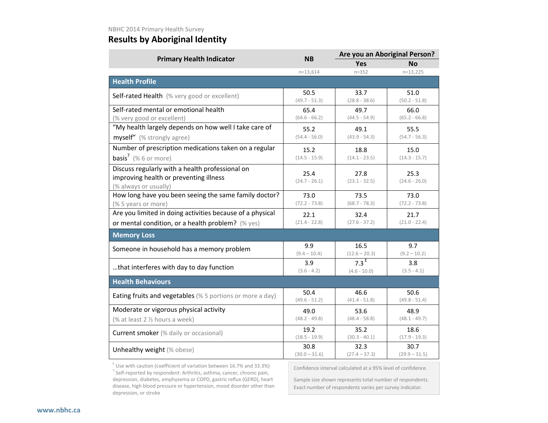## **Results by Aboriginal Identity**

|                                                                                                                    | <b>NB</b>               |                                    | Are you an Aboriginal Person? |  |
|--------------------------------------------------------------------------------------------------------------------|-------------------------|------------------------------------|-------------------------------|--|
| <b>Primary Health Indicator</b>                                                                                    |                         | <b>Yes</b>                         | <b>No</b>                     |  |
|                                                                                                                    | $n=13,614$              | $n = 352$                          | $n=13,225$                    |  |
| <b>Health Profile</b>                                                                                              |                         |                                    |                               |  |
| Self-rated Health (% very good or excellent)                                                                       | 50.5<br>$(49.7 - 51.3)$ | 33.7<br>$(28.8 - 38.6)$            | 51.0<br>$(50.2 - 51.8)$       |  |
| Self-rated mental or emotional health<br>(% very good or excellent)                                                | 65.4<br>$(64.6 - 66.2)$ | 49.7<br>$(44.5 - 54.9)$            | 66.0<br>$(65.2 - 66.8)$       |  |
| "My health largely depends on how well I take care of<br>myself" (% strongly agree)                                | 55.2<br>$(54.4 - 56.0)$ | 49.1<br>$(43.9 - 54.3)$            | 55.5<br>$(54.7 - 56.3)$       |  |
| Number of prescription medications taken on a regular<br><b>basis<sup>7</sup></b> (% 6 or more)                    | 15.2<br>$(14.5 - 15.9)$ | 18.8<br>$(14.1 - 23.5)$            | 15.0<br>$(14.3 - 15.7)$       |  |
| Discuss regularly with a health professional on<br>improving health or preventing illness<br>(% always or usually) | 25.4<br>$(24.7 - 26.1)$ | 27.8<br>$(23.1 - 32.5)$            | 25.3<br>$(24.6 - 26.0)$       |  |
| How long have you been seeing the same family doctor?<br>(% 5 years or more)                                       | 73.0<br>$(72.2 - 73.8)$ | 73.5<br>$(68.7 - 78.3)$            | 73.0<br>$(72.2 - 73.8)$       |  |
| Are you limited in doing activities because of a physical                                                          | 22.1                    | 32.4                               | 21.7                          |  |
| or mental condition, or a health problem? (% yes)                                                                  | $(21.4 - 22.8)$         | $(27.6 - 37.2)$                    | $(21.0 - 22.4)$               |  |
| <b>Memory Loss</b>                                                                                                 |                         |                                    |                               |  |
| Someone in household has a memory problem                                                                          | 9.9<br>$(9.4 - 10.4)$   | 16.5<br>$(12.6 - 20.3)$            | 9.7<br>$(9.2 - 10.2)$         |  |
| that interferes with day to day function                                                                           | 3.9<br>$(3.6 - 4.2)$    | 7.3 <sup>E</sup><br>$(4.6 - 10.0)$ | 3.8<br>$(3.5 - 4.1)$          |  |
| <b>Health Behaviours</b>                                                                                           |                         |                                    |                               |  |
| Eating fruits and vegetables (% 5 portions or more a day)                                                          | 50.4<br>$(49.6 - 51.2)$ | 46.6<br>$(41.4 - 51.8)$            | 50.6<br>$(49.8 - 51.4)$       |  |
| Moderate or vigorous physical activity                                                                             | 49.0                    | 53.6                               | 48.9                          |  |
| (% at least 2 % hours a week)                                                                                      | $(48.2 - 49.8)$         | $(48.4 - 58.8)$                    | $(48.1 - 49.7)$               |  |
| Current smoker (% daily or occasional)                                                                             | 19.2<br>$(18.5 - 19.9)$ | 35.2<br>$(30.3 - 40.1)$            | 18.6<br>$(17.9 - 19.3)$       |  |
| Unhealthy weight (% obese)                                                                                         | 30.8<br>$(30.0 - 31.6)$ | 32.3<br>$(27.4 - 37.3)$            | 30.7<br>$(29.9 - 31.5)$       |  |

 $E$  Use with caution (coefficient of variation between 16.7% and 33.3%) <sup>7</sup> Self-reported by respondent: Arthritis, asthma, cancer, chronic pain, depression, diabetes, emphysema or COPD, gastric reflux (GERD), heart disease, high blood pressure or hypertension, mood disorder other than depression, or stroke

Confidence interval calculated at a 95% level of confidence.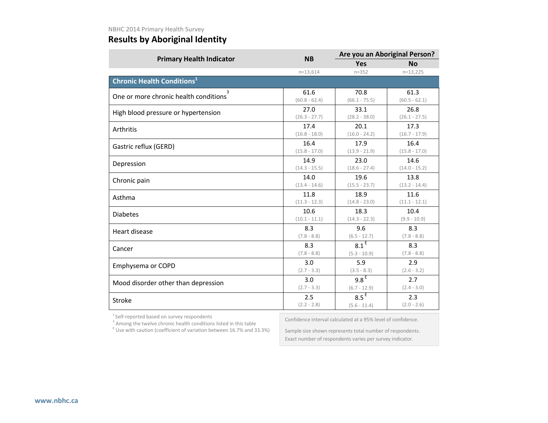## **Results by Aboriginal Identity**

|                 | Are you an Aboriginal Person? |                 |  |
|-----------------|-------------------------------|-----------------|--|
|                 | <b>Yes</b>                    | <b>No</b>       |  |
| $n=13,614$      | $n = 352$                     | $n=13,225$      |  |
|                 |                               |                 |  |
| 61.6            | 70.8                          | 61.3            |  |
| $(60.8 - 62.4)$ | $(66.1 - 75.5)$               | $(60.5 - 62.1)$ |  |
| 27.0            | 33.1                          | 26.8            |  |
| $(26.3 - 27.7)$ | $(28.2 - 38.0)$               | $(26.1 - 27.5)$ |  |
| 17.4            | 20.1                          | 17.3            |  |
| $(16.8 - 18.0)$ | $(16.0 - 24.2)$               | $(16.7 - 17.9)$ |  |
| 16.4            | 17.9                          | 16.4            |  |
| $(15.8 - 17.0)$ | $(13.9 - 21.9)$               | $(15.8 - 17.0)$ |  |
| 14.9            | 23.0                          | 14.6            |  |
| $(14.3 - 15.5)$ | $(18.6 - 27.4)$               | $(14.0 - 15.2)$ |  |
| 14.0            | 19.6                          | 13.8            |  |
| $(13.4 - 14.6)$ | $(15.5 - 23.7)$               | $(13.2 - 14.4)$ |  |
| 11.8            | 18.9                          | 11.6            |  |
| $(11.3 - 12.3)$ | $(14.8 - 23.0)$               | $(11.1 - 12.1)$ |  |
| 10.6            | 18.3                          | 10.4            |  |
| $(10.1 - 11.1)$ | $(14.3 - 22.3)$               | $(9.9 - 10.9)$  |  |
| 8.3             | 9.6                           | 8.3             |  |
| $(7.8 - 8.8)$   | $(6.5 - 12.7)$                | $(7.8 - 8.8)$   |  |
| 8.3             | 8.1 <sup>E</sup>              | 8.3             |  |
| $(7.8 - 8.8)$   | $(5.3 - 10.9)$                | $(7.8 - 8.8)$   |  |
| 3.0             | 5.9                           | 2.9             |  |
| $(2.7 - 3.3)$   | $(3.5 - 8.3)$                 | $(2.6 - 3.2)$   |  |
| 3.0             | 9.8 <sup>E</sup>              | 2.7             |  |
| $(2.7 - 3.3)$   | $(6.7 - 12.9)$                | $(2.4 - 3.0)$   |  |
| 2.5             | 8.5 <sup>E</sup>              | 2.3             |  |
| $(2.2 - 2.8)$   | $(5.6 - 11.4)$                | $(2.0 - 2.6)$   |  |
|                 | <b>NB</b>                     |                 |  |

 $^1$  Self-reported based on survey respondents<br> $^3$  Among the twelve chronic health conditions listed in this table

Confidence interval calculated at a 95% level of confidence.

 $E$  Use with caution (coefficient of variation between 16.7% and 33.3%)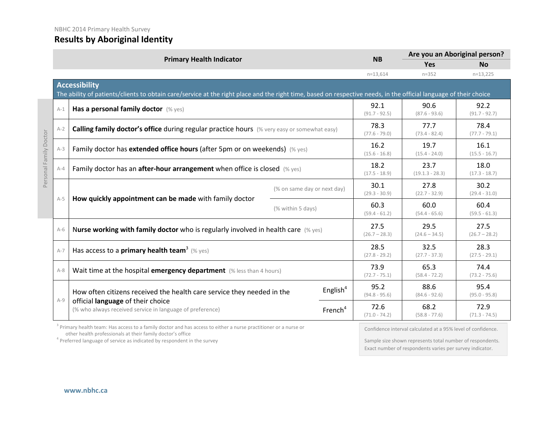| <b>Results by Aboriginal Identity</b> |  |
|---------------------------------------|--|

|                        |                                                                                                                                                                                           | <b>Primary Health Indicator</b>                                                                                                                                          | <b>NB</b>                   | Are you an Aboriginal person? |                           |                         |                         |
|------------------------|-------------------------------------------------------------------------------------------------------------------------------------------------------------------------------------------|--------------------------------------------------------------------------------------------------------------------------------------------------------------------------|-----------------------------|-------------------------------|---------------------------|-------------------------|-------------------------|
|                        |                                                                                                                                                                                           |                                                                                                                                                                          |                             |                               | <b>Yes</b>                | <b>No</b>               |                         |
|                        |                                                                                                                                                                                           |                                                                                                                                                                          |                             |                               | $n = 13,614$              | $n = 352$               | $n=13,225$              |
|                        | <b>Accessibility</b><br>The ability of patients/clients to obtain care/service at the right place and the right time, based on respective needs, in the official language of their choice |                                                                                                                                                                          |                             |                               |                           |                         |                         |
|                        | $A-1$                                                                                                                                                                                     | Has a personal family doctor (% yes)                                                                                                                                     |                             |                               | 92.1<br>$(91.7 - 92.5)$   | 90.6<br>$(87.6 - 93.6)$ | 92.2<br>$(91.7 - 92.7)$ |
|                        | $A-2$                                                                                                                                                                                     | Calling family doctor's office during regular practice hours (% very easy or somewhat easy)                                                                              |                             |                               | 78.3<br>$(77.6 - 79.0)$   | 77.7<br>$(73.4 - 82.4)$ | 78.4<br>$(77.7 - 79.1)$ |
| Personal Family Doctor | $A-3$                                                                                                                                                                                     | Family doctor has extended office hours (after 5pm or on weekends) (% yes)                                                                                               |                             |                               | 16.2<br>$(15.6 - 16.8)$   | 19.7<br>$(15.4 - 24.0)$ | 16.1<br>$(15.5 - 16.7)$ |
|                        | $A-4$                                                                                                                                                                                     | Family doctor has an after-hour arrangement when office is closed (% yes)                                                                                                |                             | 18.2<br>$(17.5 - 18.9)$       | 23.7<br>$(19.1.3 - 28.3)$ | 18.0<br>$(17.3 - 18.7)$ |                         |
|                        | $A-5$                                                                                                                                                                                     |                                                                                                                                                                          | (% on same day or next day) |                               | 30.1<br>$(29.3 - 30.9)$   | 27.8<br>$(22.7 - 32.9)$ | 30.2<br>$(29.4 - 31.0)$ |
|                        |                                                                                                                                                                                           | How quickly appointment can be made with family doctor                                                                                                                   | (% within 5 days)           |                               | 60.3<br>$(59.4 - 61.2)$   | 60.0<br>$(54.4 - 65.6)$ | 60.4<br>$(59.5 - 61.3)$ |
|                        | $A-6$                                                                                                                                                                                     | Nurse working with family doctor who is regularly involved in health care $(\%$ yes)                                                                                     |                             |                               | 27.5<br>$(26.7 - 28.3)$   | 29.5<br>$(24.6 - 34.5)$ | 27.5<br>$(26.7 - 28.2)$ |
|                        | $A-7$                                                                                                                                                                                     | Has access to a <b>primary health team<sup>3</sup> (% yes)</b>                                                                                                           |                             |                               | 28.5<br>$(27.8 - 29.2)$   | 32.5<br>$(27.7 - 37.3)$ | 28.3<br>$(27.5 - 29.1)$ |
|                        | $A-8$                                                                                                                                                                                     | Wait time at the hospital emergency department (% less than 4 hours)                                                                                                     |                             |                               | 73.9<br>$(72.7 - 75.1)$   | 65.3<br>$(58.4 - 72.2)$ | 74.4<br>$(73.2 - 75.6)$ |
|                        |                                                                                                                                                                                           | How often citizens received the health care service they needed in the<br>official language of their choice<br>(% who always received service in language of preference) |                             | English <sup>4</sup>          | 95.2<br>$(94.8 - 95.6)$   | 88.6<br>$(84.6 - 92.6)$ | 95.4<br>$(95.0 - 95.8)$ |
|                        | $A-9$                                                                                                                                                                                     |                                                                                                                                                                          | French <sup>4</sup>         | 72.6<br>$(71.0 - 74.2)$       | 68.2<br>$(58.8 - 77.6)$   | 72.9<br>$(71.3 - 74.5)$ |                         |

<sup>3</sup> Primary health team: Has access to a family doctor and has access to either a nurse practitioner or a nurse or other health professionals at their family doctor's office

 $4$  Preferred language of service as indicated by respondent in the survey

Confidence interval calculated at a 95% level of confidence.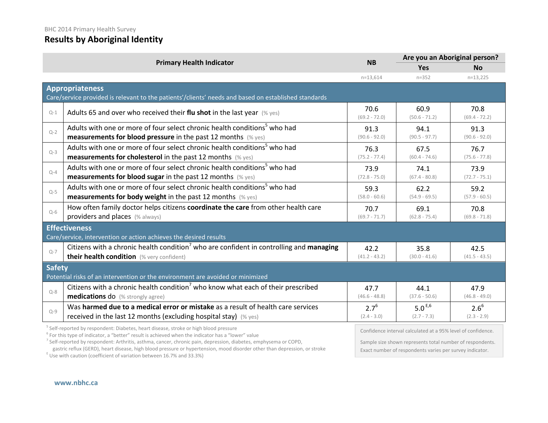### **Results by Aboriginal Identity**

|         | <b>Primary Health Indicator</b>                                                                      | <b>NB</b>               | Are you an Aboriginal person? |                         |  |
|---------|------------------------------------------------------------------------------------------------------|-------------------------|-------------------------------|-------------------------|--|
|         |                                                                                                      |                         | <b>Yes</b>                    | <b>No</b>               |  |
|         |                                                                                                      | $n=13,614$              | $n = 352$                     | $n=13,225$              |  |
|         | Appropriateness                                                                                      |                         |                               |                         |  |
|         | Care/service provided is relevant to the patients'/clients' needs and based on established standards |                         |                               |                         |  |
| $Q-1$   | Adults 65 and over who received their flu shot in the last year $(\%$ yes)                           | 70.6<br>$(69.2 - 72.0)$ | 60.9<br>$(50.6 - 71.2)$       | 70.8<br>$(69.4 - 72.2)$ |  |
| $Q - 2$ | Adults with one or more of four select chronic health conditions <sup>5</sup> who had                | 91.3                    | 94.1                          | 91.3                    |  |
|         | <b>measurements for blood pressure</b> in the past 12 months (% yes)                                 | $(90.6 - 92.0)$         | $(90.5 - 97.7)$               | $(90.6 - 92.0)$         |  |
| $Q-3$   | Adults with one or more of four select chronic health conditions <sup>5</sup> who had                | 76.3                    | 67.5                          | 76.7                    |  |
|         | <b>measurements for cholesterol</b> in the past 12 months (% yes)                                    | $(75.2 - 77.4)$         | $(60.4 - 74.6)$               | $(75.6 - 77.8)$         |  |
| $Q-4$   | Adults with one or more of four select chronic health conditions <sup>5</sup> who had                | 73.9                    | 74.1                          | 73.9                    |  |
|         | <b>measurements for blood sugar in the past 12 months</b> (% yes)                                    | $(72.8 - 75.0)$         | $(67.4 - 80.8)$               | $(72.7 - 75.1)$         |  |
| $Q-5$   | Adults with one or more of four select chronic health conditions <sup>5</sup> who had                | 59.3                    | 62.2                          | 59.2                    |  |
|         | measurements for body weight in the past 12 months (% yes)                                           | $(58.0 - 60.6)$         | $(54.9 - 69.5)$               | $(57.9 - 60.5)$         |  |
| $O-6$   | How often family doctor helps citizens coordinate the care from other health care                    | 70.7                    | 69.1                          | 70.8                    |  |
|         | providers and places (% always)                                                                      | $(69.7 - 71.7)$         | $(62.8 - 75.4)$               | $(69.8 - 71.8)$         |  |
|         | <b>Effectiveness</b>                                                                                 |                         |                               |                         |  |
|         | Care/service, intervention or action achieves the desired results                                    |                         |                               |                         |  |
| $Q - 7$ | Citizens with a chronic health condition <sup>7</sup> who are confident in controlling and managing  | 42.2                    | 35.8                          | 42.5                    |  |
|         | their health condition (% very confident)                                                            | $(41.2 - 43.2)$         | $(30.0 - 41.6)$               | $(41.5 - 43.5)$         |  |
|         | <b>Safety</b>                                                                                        |                         |                               |                         |  |
|         | Potential risks of an intervention or the environment are avoided or minimized                       |                         |                               |                         |  |
| $Q - 8$ | Citizens with a chronic health condition <sup>7</sup> who know what each of their prescribed         | 47.7                    | 44.1                          | 47.9                    |  |
|         | <b>medications do</b> (% strongly agree)                                                             | $(46.6 - 48.8)$         | $(37.6 - 50.6)$               | $(46.8 - 49.0)$         |  |
| $Q - 9$ | Was harmed due to a medical error or mistake as a result of health care services                     | $2.7^{6}$               | 5.0 $E,6$                     | $2.6^{6}$               |  |
|         | received in the last 12 months (excluding hospital stay) (% yes)                                     | $(2.4 - 3.0)$           | $(2.7 - 7.3)$                 | $(2.3 - 2.9)$           |  |

<sup>5</sup> Self-reported by respondent: Diabetes, heart disease, stroke or high blood pressure

<sup>6</sup> For this type of indicator, a "better" result is achieved when the indicator has a "lower" value

<sup>7</sup> Self-reported by respondent: Arthritis, asthma, cancer, chronic pain, depression, diabetes, emphysema or COPD,

gastric reflux (GERD), heart disease, high blood pressure or hypertension, mood disorder other than depression, or stroke E Use with caution (coefficient of variation between 16.7% and 33.3%)

Confidence interval calculated at a 95% level of confidence.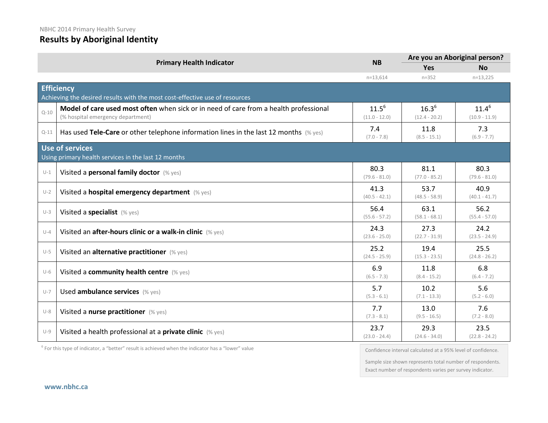# **Results by Aboriginal Identity**

|          | <b>Primary Health Indicator</b>                                                                                            | <b>NB</b>                     | Are you an Aboriginal person? |                               |
|----------|----------------------------------------------------------------------------------------------------------------------------|-------------------------------|-------------------------------|-------------------------------|
|          |                                                                                                                            |                               | <b>Yes</b>                    | <b>No</b>                     |
|          |                                                                                                                            | $n=13,614$                    | $n = 352$                     | $n=13,225$                    |
|          | <b>Efficiency</b>                                                                                                          |                               |                               |                               |
|          | Achieving the desired results with the most cost-effective use of resources                                                |                               |                               |                               |
| $O-10$   | Model of care used most often when sick or in need of care from a health professional<br>(% hospital emergency department) | $11.5^{6}$<br>$(11.0 - 12.0)$ | $16.3^{6}$<br>$(12.4 - 20.2)$ | $11.4^{6}$<br>$(10.9 - 11.9)$ |
| $Q - 11$ | Has used Tele-Care or other telephone information lines in the last 12 months $(\%$ yes)                                   | 7.4<br>$(7.0 - 7.8)$          | 11.8<br>$(8.5 - 15.1)$        | 7.3<br>$(6.9 - 7.7)$          |
|          | <b>Use of services</b>                                                                                                     |                               |                               |                               |
|          | Using primary health services in the last 12 months                                                                        |                               |                               |                               |
| $U-1$    | Visited a personal family doctor (% yes)                                                                                   | 80.3<br>$(79.6 - 81.0)$       | 81.1<br>$(77.0 - 85.2)$       | 80.3<br>$(79.6 - 81.0)$       |
| $U-2$    | Visited a hospital emergency department (% yes)                                                                            | 41.3<br>$(40.5 - 42.1)$       | 53.7<br>$(48.5 - 58.9)$       | 40.9<br>$(40.1 - 41.7)$       |
| $U-3$    | Visited a specialist (% yes)                                                                                               | 56.4<br>$(55.6 - 57.2)$       | 63.1<br>$(58.1 - 68.1)$       | 56.2<br>$(55.4 - 57.0)$       |
| $U-4$    | Visited an after-hours clinic or a walk-in clinic (% yes)                                                                  | 24.3<br>$(23.6 - 25.0)$       | 27.3<br>$(22.7 - 31.9)$       | 24.2<br>$(23.5 - 24.9)$       |
| $U-5$    | Visited an alternative practitioner (% yes)                                                                                | 25.2<br>$(24.5 - 25.9)$       | 19.4<br>$(15.3 - 23.5)$       | 25.5<br>$(24.8 - 26.2)$       |
| $U-6$    | Visited a community health centre (% yes)                                                                                  | 6.9<br>$(6.5 - 7.3)$          | 11.8<br>$(8.4 - 15.2)$        | 6.8<br>$(6.4 - 7.2)$          |
| $U-7$    | Used ambulance services (% yes)                                                                                            | 5.7<br>$(5.3 - 6.1)$          | 10.2<br>$(7.1 - 13.3)$        | 5.6<br>$(5.2 - 6.0)$          |
| $U-8$    | Visited a nurse practitioner (% yes)                                                                                       | 7.7<br>$(7.3 - 8.1)$          | 13.0<br>$(9.5 - 16.5)$        | 7.6<br>$(7.2 - 8.0)$          |
| $U-9$    | Visited a health professional at a <b>private clinic</b> (% yes)                                                           | 23.7<br>$(23.0 - 24.4)$       | 29.3<br>$(24.6 - 34.0)$       | 23.5<br>$(22.8 - 24.2)$       |

 $6$  For this type of indicator, a "better" result is achieved when the indicator has a "lower" value

Confidence interval calculated at a 95% level of confidence.